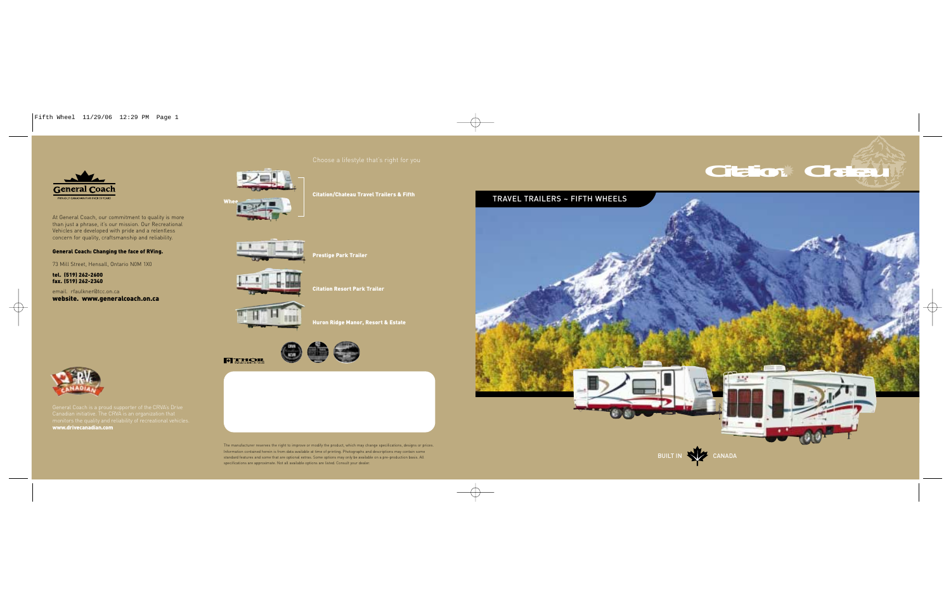





Citation/Chateau Travel Trailers & Fifth









Citation Resort Park Trailer



**FILLIOR** 







At General Coach, our commitment to quality is more than just a phrase, it's our mission. Our Recreational Vehicles are developed with pride and a relentless concern for quality, craftsmanship and reliability.

> The manufacturer reserves the right to improve or modify the product, which may change specifications, designs or prices. Information contained herein is from data available at time of printing. Photographs and descriptions may contain some standard features and some that are optional extras. Some options may only be available on a pre-production basis. All specifications are approximate. Not all available options are listed. Consult your dealer.

#### General Coach: Changing the face of RVing.

73 Mill Street, Hensall, Ontario N0M 1X0

tel. (519) 262-2600 fax. (519) 262-2340

email. rfaulkner@tcc.on.cawebsite. www.generalcoach.on.ca

www.drivecanadian.com

BUILT IN **CANADA**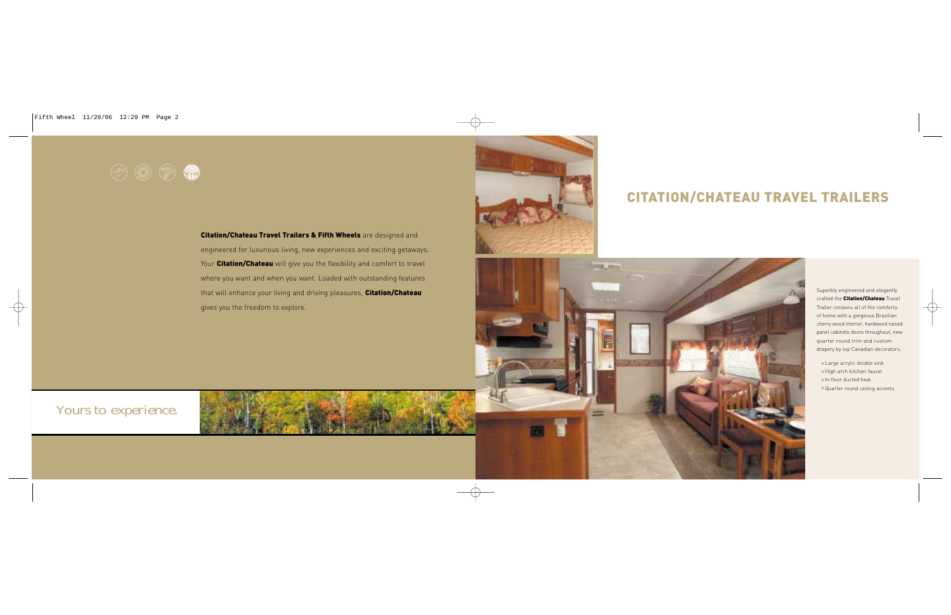# $\odot$   $\odot$   $\odot$   $\odot$

### Citation/Chateau Travel Trailers & Fifth Wheels are designed and

# CITATION/CHATEAU TRAVEL TRAILERS

## Yours to experience.

engineered for luxurious living, new experiences and exciting getaways. Your Citation/Chateau will give you the flexibility and comfort to travel where you want and when you want. Loaded with outstanding features that will enhance your living and driving pleasures, Citation/Chateau gives you the freedom to explore.





- Large acrylic double sink
- High arch kitchen faucet
- In floor ducted heat
- Quarter round ceiling accents

Superbly engineered and elegantly crafted the **Citation/Chateau** Travel Trailer contains all of the comfortsof home with a gorgeous Brazilian cherry wood interior, hardwood raised panel cabinets doors throughout, new quarter round trim and custom drapery by top Canadian decorators.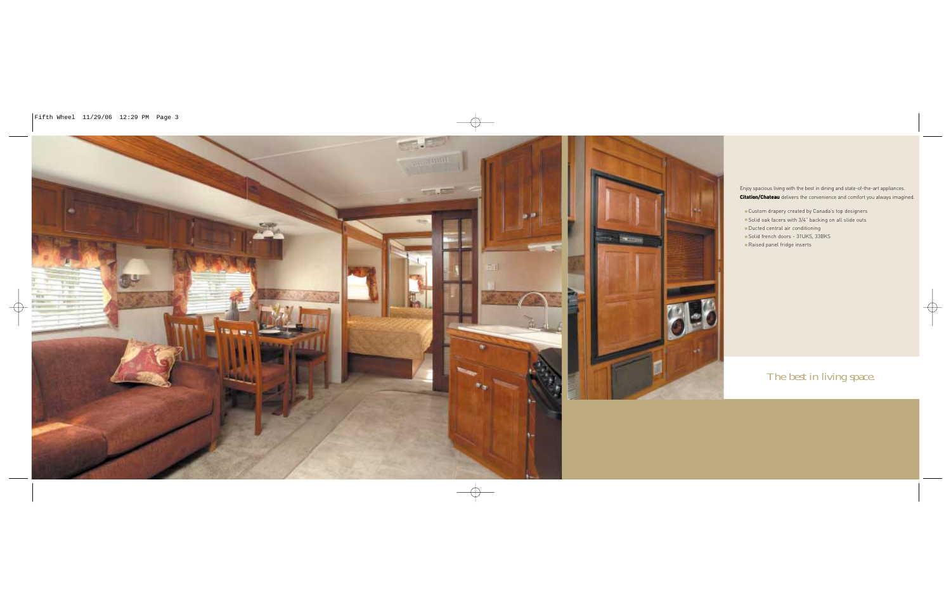## The best in living space.



Enjoy spacious living with the best in dining and state-of-the-art appliances.

Citation/Chateau delivers the convenience and comfort you always imagined.

- Custom drapery created by Canada's top designers
- Solid oak facers with 3/4" backing on all slide outs
- Ducted central air conditioning
- Solid french doors 31UKS, 33BKS
- Raised panel fridge inserts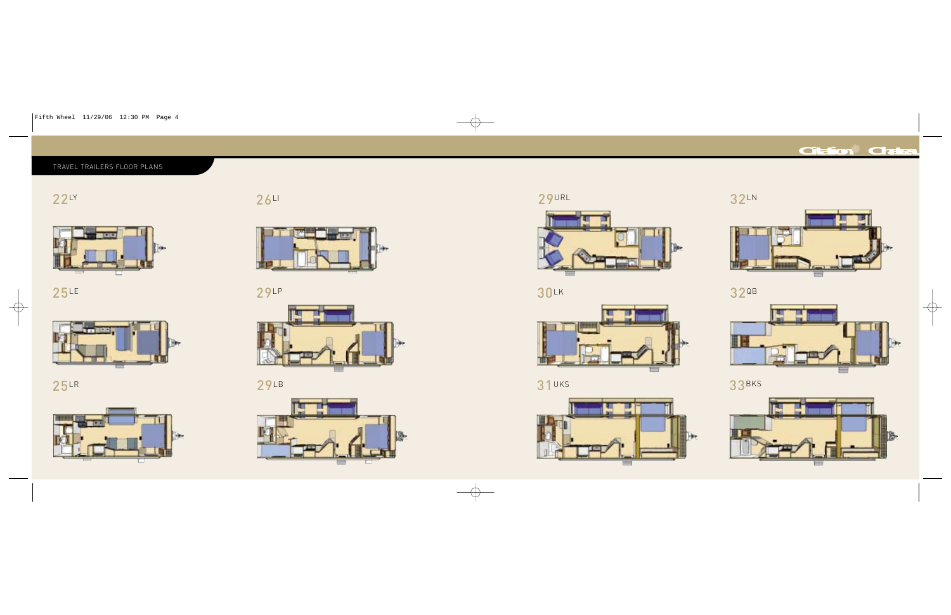LY



LE



LR



LI



### TRAVEL TRAILERS FLOOR PLANS

LP



LB



URL



LK



UKS



## LN



*Citation* ✹ *Chateau*

## 32QB



## 33BKS

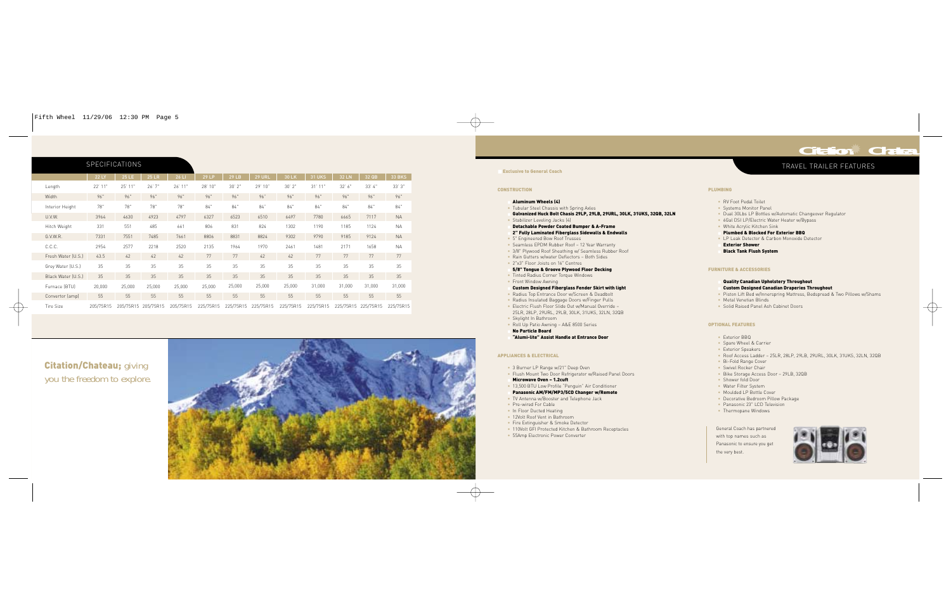### TRAVEL TRAILER FEATURES

|                    | <b>22 LY</b> | 25 LE     | <b>25 LR</b> | 26 LI     | 29 LP     | 29 LB     | <b>29 URL</b> | 30 LK     | <b>31 UKS</b> | <b>32 LN</b> | 32 QB     | <b>33 BKS</b> |
|--------------------|--------------|-----------|--------------|-----------|-----------|-----------|---------------|-----------|---------------|--------------|-----------|---------------|
| Length             | $22'$ 11"    | 25' 11"   | 26'7"        | $26'$ 11" | 28' 10"   | 30'2"     | 29'10"        | 30'2"     | $31'$ $11"$   | 32'6"        | 33' 4"    | 33'3"         |
| Width              | 96"          | 96"       | 96"          | 96"       | 96"       | 96"       | 96"           | 96"       | 96"           | 96"          | 96"       | 96"           |
| Interior Height    | 78"          | 78"       | 78"          | 78"       | 84"       | 84"       | 84"           | 84"       | 84"           | 84"          | 84"       | 84"           |
| U.V.W.             | 3964         | 4630      | 4923         | 4797      | 6327      | 6523      | 6510          | 6497      | 7780          | 6665         | 7117      | <b>NA</b>     |
| Hitch Weight       | 331          | 551       | 485          | 661       | 806       | 831       | 824           | 1302      | 1190          | 1185         | 1124      | <b>NA</b>     |
| G.V.W.R.           | 7331         | 7551      | 7485         | 7661      | 8806      | 8831      | 8824          | 9302      | 9790          | 9185         | 9124      | <b>NA</b>     |
| C.C.C.             | 2954         | 2577      | 2218         | 2520      | 2135      | 1964      | 1970          | 2461      | 1481          | 2171         | 1658      | <b>NA</b>     |
| Fresh Water (U.S.) | 43.5         | 42        | 42           | 42        | 77        | 77        | 42            | 42        | 77            | 77           | 77        | 77            |
| Grey Water (U.S.)  | 35           | 35        | 35           | 35        | 35        | 35        | 35            | 35        | 35            | 35           | 35        | 35            |
| Black Water (U.S.) | 35           | 35        | 35           | 35        | 35        | 35        | 35            | 35        | 35            | 35           | 35        | 35            |
| Furnace (BTU)      | 20,000       | 25,000    | 25,000       | 25,000    | 25,000    | 25,000    | 25,000        | 25,000    | 31,000        | 31,000       | 31,000    | 31,000        |
| Convertor (amp)    | 55           | 55        | 55           | 55        | 55        | 55        | 55            | 55        | 55            | 55           | 55        | 55            |
| <b>Tire Size</b>   | 205/75R15    | 205/75R15 | 205/75R15    | 205/75R15 | 225/75R15 | 225/75R15 | 225/75R15     | 225/75R15 | 225/75R15     | 225/75R15    | 225/75R15 | 225/75R15     |

#### SPECIFICATIONS

erior Shower Black Tank Flush System

#### **E & ACCESSORIES**

#### ality Canadian Upholstery Throughout stom Designed Canadian Draperies Throughout ton Lift Bed w/Innerspring Mattress, Bedspread & Two Pillows w/Shams al Venetian Blinds

**Solid Raised Panel Ash Cabinet Doors** 

#### **FEATURES**

rior BBQ Spare Wheel & Carrier erior Speakers Roof Access Ladder – 25LR, 28LP, 29LB, 29URL, 30LK, 31UKS, 32LN, 32QB Fold Range Cover ivel Rocker Chair Bike Storage Access Door – 29LB, 32QB wer fold Door ter Filter System ulded LP Bottle Cover corative Bedroom Pillow Package • Panasonic 23" LCD Television mopane Windows



| <b>CONSTRUCTION</b>                                                                                                                                                                                                                                                                                                                                                                                                                                                                                                             | <b>PLUMBING</b>                                                                                         |
|---------------------------------------------------------------------------------------------------------------------------------------------------------------------------------------------------------------------------------------------------------------------------------------------------------------------------------------------------------------------------------------------------------------------------------------------------------------------------------------------------------------------------------|---------------------------------------------------------------------------------------------------------|
| <b>Aluminum Wheels (4)</b><br>• Tubular Steel Chassis with Spring Axles<br>Galvanized Huck Bolt Chasis 29LP, 29LB, 29URL, 30LK, 31UKS, 32QB, 32LN<br>• Stabilizer Leveling Jacks (4)<br>Detachable Powder Coated Bumper & A-Frame<br>2" Fully Laminated Fiberglass Sidewalls & Endwalls<br>• 5" Engineered Bow Roof Trusses<br>• Seamless EPDM Rubber Roof - 12 Year Warranty<br>• 3/8" Plywood Roof Sheathing w/ Seamless Rubber Roof<br>. Rain Gutters w/water Deflectors - Both Sides<br>• 2"x3" Eloor Joists on 16" Centres | $\bullet$ RV F<br>· Syst<br>• Dual<br>$-66al$<br>• Whit<br>Plur<br>$-LPL$<br><b>Exte</b><br><b>Blac</b> |
| 5/8" Tongue & Groove Plywood Floor Decking<br>• Tinted Radius Corner Torque Windows                                                                                                                                                                                                                                                                                                                                                                                                                                             | <b>FURNITURE</b>                                                                                        |
| • Front Window Awning<br>Custom Designed Fiberglass Fender Skirt with light<br>• Radius Top Entrance Door w/Screen & Deadbolt<br>. Radius Insulated Baggage Doors w/Finger Pulls<br>· Electric Flush Floor Slide Out w/Manual Override -<br>25LR, 28LP, 29URL, 29LB, 30LK, 31UKS, 32LN, 32QB<br>• Skylight In Bathroom                                                                                                                                                                                                          | Qual<br>Cust<br>• Pisto<br>· Meta<br>· Solic                                                            |
| • Roll Up Patio Awning - A&E 8500 Series<br><b>No Particle Board</b>                                                                                                                                                                                                                                                                                                                                                                                                                                                            | <b>OPTIONAL</b>                                                                                         |
| "Alumi-lite" Assist Handle at Entrance Door<br><b>APPLIANCES &amp; ELECTRICAL</b>                                                                                                                                                                                                                                                                                                                                                                                                                                               | $\bullet$ Exte<br>$\bullet$ Spar<br>$\bullet$ Exte<br>$\bullet$ Roof<br>$-Bi-F$                         |
| • 3 Burner LP Range w/21" Deep Oven<br>. Flush Mount Two Door Refrigerator w/Raised Panel Doors<br>Microwave Oven - 1.2cuft<br>· 13,500 BTU Low Profile "Penguin" Air Conditioner<br>Panasonic AM/FM/MP3/5CD Changer w/Remote<br>• TV Antenna w/Booster and Telephone Jack<br>• Pre-wired For Cable<br>. In Floor Ducted Heating<br>• 12Volt Roof Vent in Bathroom                                                                                                                                                              | • Swiv<br>• Bike<br>· Show<br>· Wate<br>• Mou<br>$\bullet$ Deco<br>• Pana<br>• Ther                     |
| • Fire Extinguisher & Smoke Detector<br>· 110Volt GFI Protected Kitchen & Bathroom Receptacles<br>• 55Amp Electronic Power Converter                                                                                                                                                                                                                                                                                                                                                                                            | General<br>with top<br>$D - - - - - -$                                                                  |

Coach has partnered names such as Panasonic to ensure you get the very best.

**Citation/Chateau; giving** you the freedom to explore.



#### **Exclusive to General Coach**

*Citation* ✹ *Chateau*

Foot Pedal Toilet tems Monitor Panel Il 30Lbs LP Bottles w/Automatic Changeover Regulator al DSI LP/Electric Water Heater w/Bypass ite Acrylic Kitchen Sink mbed & Blocked For Exterior BBQ Leak Detector & Carbon Monoxide Detector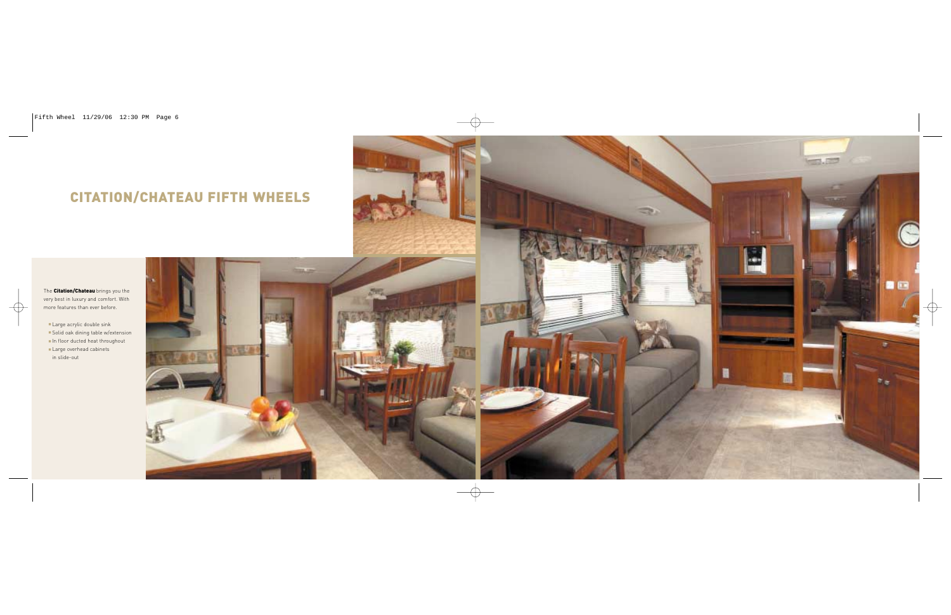# CITATION/CHATEAU FIFTH WHEELS



The Citation/Chateau brings you the very best in luxury and comfort. With more features than ever before.

■ Large acrylic double sink ■ Solid oak dining table w/extension ■ In floor ducted heat throughout ■ Large overhead cabinets in slide-out





5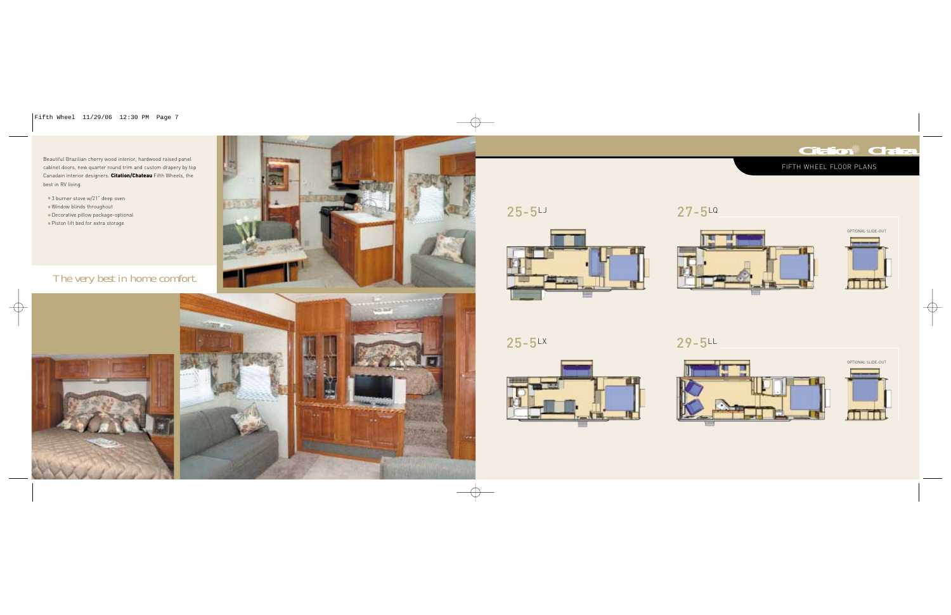### FIFTH WHEEL FLOOR PLANS



25-5LJ

25-5LX

27-5LQ

29-5LL



Beautiful Brazilian cherry wood interior, hardwood raised panel cabinet doors, new quarter round trim and custom drapery by top Canadain interior designers. Citation/Chateau Fifth Wheels, the best in RV living.

- 3 burner stove w/21" deep oven ■ Window blinds throughout
- Decorative pillow package-optional
- Piston lift bed for extra storage

## The very best in home comfort.













OPTIONAL SLIDE-OUT

*Citation* ✹ *Chateau*